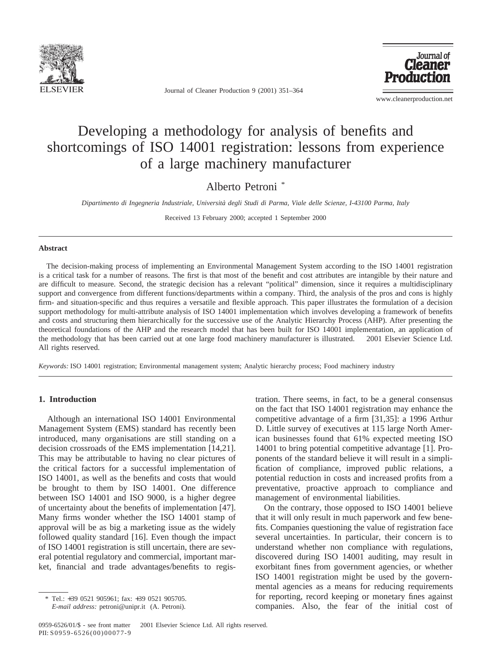

Journal of Cleaner Production 9 (2001) 351–364



www.cleanerproduction.net

# Developing a methodology for analysis of benefits and shortcomings of ISO 14001 registration: lessons from experience of a large machinery manufacturer

Alberto Petroni \*

*Dipartimento di Ingegneria Industriale, Universita` degli Studi di Parma, Viale delle Scienze, I-43100 Parma, Italy*

Received 13 February 2000; accepted 1 September 2000

#### **Abstract**

The decision-making process of implementing an Environmental Management System according to the ISO 14001 registration is a critical task for a number of reasons. The first is that most of the benefit and cost attributes are intangible by their nature and are difficult to measure. Second, the strategic decision has a relevant "political" dimension, since it requires a multidisciplinary support and convergence from different functions/departments within a company. Third, the analysis of the pros and cons is highly firm- and situation-specific and thus requires a versatile and flexible approach. This paper illustrates the formulation of a decision support methodology for multi-attribute analysis of ISO 14001 implementation which involves developing a framework of benefits and costs and structuring them hierarchically for the successive use of the Analytic Hierarchy Process (AHP). After presenting the theoretical foundations of the AHP and the research model that has been built for ISO 14001 implementation, an application of the methodology that has been carried out at one large food machinery manufacturer is illustrated. © 2001 Elsevier Science Ltd. All rights reserved.

*Keywords:* ISO 14001 registration; Environmental management system; Analytic hierarchy process; Food machinery industry

### **1. Introduction**

Although an international ISO 14001 Environmental Management System (EMS) standard has recently been introduced, many organisations are still standing on a decision crossroads of the EMS implementation [14,21]. This may be attributable to having no clear pictures of the critical factors for a successful implementation of ISO 14001, as well as the benefits and costs that would be brought to them by ISO 14001. One difference between ISO 14001 and ISO 9000, is a higher degree of uncertainty about the benefits of implementation [47]. Many firms wonder whether the ISO 14001 stamp of approval will be as big a marketing issue as the widely followed quality standard [16]. Even though the impact of ISO 14001 registration is still uncertain, there are several potential regulatory and commercial, important market, financial and trade advantages/benefits to registration. There seems, in fact, to be a general consensus on the fact that ISO 14001 registration may enhance the competitive advantage of a firm [31,35]: a 1996 Arthur D. Little survey of executives at 115 large North American businesses found that 61% expected meeting ISO 14001 to bring potential competitive advantage [1]. Proponents of the standard believe it will result in a simplification of compliance, improved public relations, a potential reduction in costs and increased profits from a preventative, proactive approach to compliance and management of environmental liabilities.

On the contrary, those opposed to ISO 14001 believe that it will only result in much paperwork and few benefits. Companies questioning the value of registration face several uncertainties. In particular, their concern is to understand whether non compliance with regulations, discovered during ISO 14001 auditing, may result in exorbitant fines from government agencies, or whether ISO 14001 registration might be used by the governmental agencies as a means for reducing requirements for reporting, record keeping or monetary fines against companies. Also, the fear of the initial cost of

Tel.: +39 0521 905961; fax: +39 0521 905705. *E-mail address:* petroni@unipr.it (A. Petroni).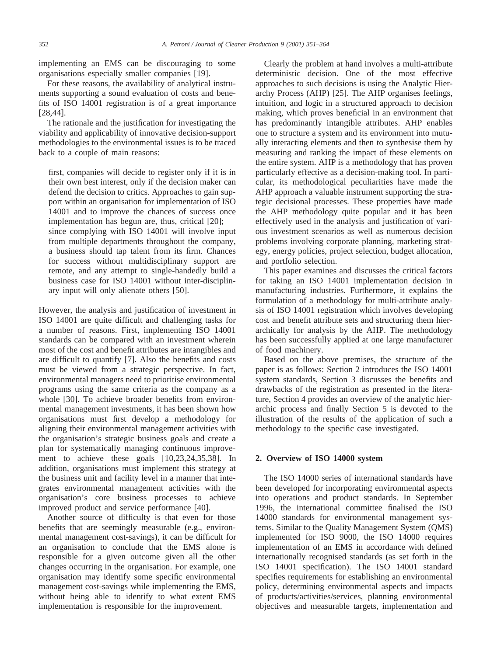implementing an EMS can be discouraging to some organisations especially smaller companies [19].

For these reasons, the availability of analytical instruments supporting a sound evaluation of costs and benefits of ISO 14001 registration is of a great importance [28,44].

The rationale and the justification for investigating the viability and applicability of innovative decision-support methodologies to the environmental issues is to be traced back to a couple of main reasons:

first, companies will decide to register only if it is in their own best interest, only if the decision maker can defend the decision to critics. Approaches to gain support within an organisation for implementation of ISO 14001 and to improve the chances of success once implementation has begun are, thus, critical [20]; since complying with ISO 14001 will involve input from multiple departments throughout the company, a business should tap talent from its firm. Chances for success without multidisciplinary support are remote, and any attempt to single-handedly build a business case for ISO 14001 without inter-disciplinary input will only alienate others [50].

However, the analysis and justification of investment in ISO 14001 are quite difficult and challenging tasks for a number of reasons. First, implementing ISO 14001 standards can be compared with an investment wherein most of the cost and benefit attributes are intangibles and are difficult to quantify [7]. Also the benefits and costs must be viewed from a strategic perspective. In fact, environmental managers need to prioritise environmental programs using the same criteria as the company as a whole [30]. To achieve broader benefits from environmental management investments, it has been shown how organisations must first develop a methodology for aligning their environmental management activities with the organisation's strategic business goals and create a plan for systematically managing continuous improvement to achieve these goals [10,23,24,35,38]. In addition, organisations must implement this strategy at the business unit and facility level in a manner that integrates environmental management activities with the organisation's core business processes to achieve improved product and service performance [40].

Another source of difficulty is that even for those benefits that are seemingly measurable (e.g., environmental management cost-savings), it can be difficult for an organisation to conclude that the EMS alone is responsible for a given outcome given all the other changes occurring in the organisation. For example, one organisation may identify some specific environmental management cost-savings while implementing the EMS, without being able to identify to what extent EMS implementation is responsible for the improvement.

Clearly the problem at hand involves a multi-attribute deterministic decision. One of the most effective approaches to such decisions is using the Analytic Hierarchy Process (AHP) [25]. The AHP organises feelings, intuition, and logic in a structured approach to decision making, which proves beneficial in an environment that has predominantly intangible attributes. AHP enables one to structure a system and its environment into mutually interacting elements and then to synthesise them by measuring and ranking the impact of these elements on the entire system. AHP is a methodology that has proven particularly effective as a decision-making tool. In particular, its methodological peculiarities have made the AHP approach a valuable instrument supporting the strategic decisional processes. These properties have made the AHP methodology quite popular and it has been effectively used in the analysis and justification of various investment scenarios as well as numerous decision problems involving corporate planning, marketing strategy, energy policies, project selection, budget allocation, and portfolio selection.

This paper examines and discusses the critical factors for taking an ISO 14001 implementation decision in manufacturing industries. Furthermore, it explains the formulation of a methodology for multi-attribute analysis of ISO 14001 registration which involves developing cost and benefit attribute sets and structuring them hierarchically for analysis by the AHP. The methodology has been successfully applied at one large manufacturer of food machinery.

Based on the above premises, the structure of the paper is as follows: Section 2 introduces the ISO 14001 system standards, Section 3 discusses the benefits and drawbacks of the registration as presented in the literature, Section 4 provides an overview of the analytic hierarchic process and finally Section 5 is devoted to the illustration of the results of the application of such a methodology to the specific case investigated.

#### **2. Overview of ISO 14000 system**

The ISO 14000 series of international standards have been developed for incorporating environmental aspects into operations and product standards. In September 1996, the international committee finalised the ISO 14000 standards for environmental management systems. Similar to the Quality Management System (QMS) implemented for ISO 9000, the ISO 14000 requires implementation of an EMS in accordance with defined internationally recognised standards (as set forth in the ISO 14001 specification). The ISO 14001 standard specifies requirements for establishing an environmental policy, determining environmental aspects and impacts of products/activities/services, planning environmental objectives and measurable targets, implementation and